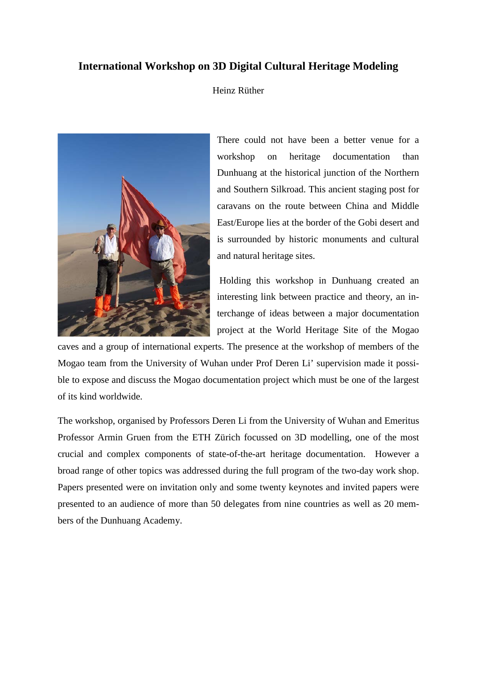## **International Workshop on 3D Digital Cultural Heritage Modeling**

Heinz Rüther



There could not have been a better venue for a workshop on heritage documentation than Dunhuang at the historical junction of the Northern and Southern Silkroad. This ancient staging post for caravans on the route between China and Middle East/Europe lies at the border of the Gobi desert and is surrounded by historic monuments and cultural and natural heritage sites.

Holding this workshop in Dunhuang created an interesting link between practice and theory, an interchange of ideas between a major documentation project at the World Heritage Site of the Mogao

caves and a group of international experts. The presence at the workshop of members of the Mogao team from the University of Wuhan under Prof Deren Li' supervision made it possible to expose and discuss the Mogao documentation project which must be one of the largest of its kind worldwide.

The workshop, organised by Professors Deren Li from the University of Wuhan and Emeritus Professor Armin Gruen from the ETH Zürich focussed on 3D modelling, one of the most crucial and complex components of state-of-the-art heritage documentation. However a broad range of other topics was addressed during the full program of the two-day work shop. Papers presented were on invitation only and some twenty keynotes and invited papers were presented to an audience of more than 50 delegates from nine countries as well as 20 members of the Dunhuang Academy.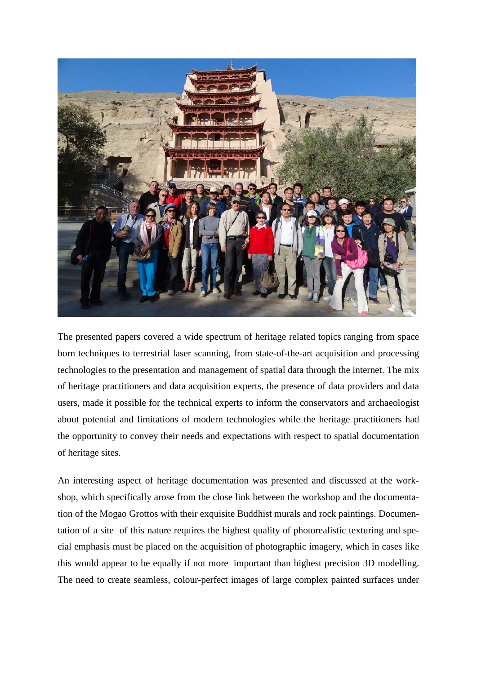

The presented papers covered a wide spectrum of heritage related topics ranging from space born techniques to terrestrial laser scanning, from state-of-the-art acquisition and processing technologies to the presentation and management of spatial data through the internet. The mix of heritage practitioners and data acquisition experts, the presence of data providers and data users, made it possible for the technical experts to inform the conservators and archaeologist about potential and limitations of modern technologies while the heritage practitioners had the opportunity to convey their needs and expectations with respect to spatial documentation of heritage sites.

An interesting aspect of heritage documentation was presented and discussed at the workshop, which specifically arose from the close link between the workshop and the documentation of the Mogao Grottos with their exquisite Buddhist murals and rock paintings. Documentation of a site of this nature requires the highest quality of photorealistic texturing and special emphasis must be placed on the acquisition of photographic imagery, which in cases like this would appear to be equally if not more important than highest precision 3D modelling. The need to create seamless, colour-perfect images of large complex painted surfaces under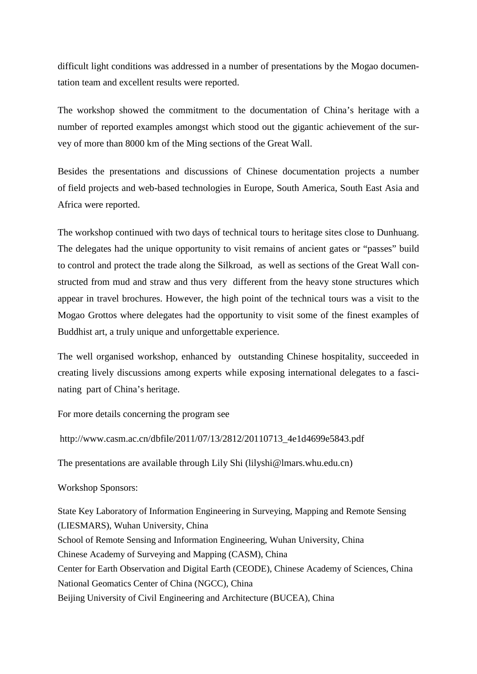difficult light conditions was addressed in a number of presentations by the Mogao documentation team and excellent results were reported.

The workshop showed the commitment to the documentation of China's heritage with a number of reported examples amongst which stood out the gigantic achievement of the survey of more than 8000 km of the Ming sections of the Great Wall.

Besides the presentations and discussions of Chinese documentation projects a number of field projects and web-based technologies in Europe, South America, South East Asia and Africa were reported.

The workshop continued with two days of technical tours to heritage sites close to Dunhuang. The delegates had the unique opportunity to visit remains of ancient gates or "passes" build to control and protect the trade along the Silkroad, as well as sections of the Great Wall constructed from mud and straw and thus very different from the heavy stone structures which appear in travel brochures. However, the high point of the technical tours was a visit to the Mogao Grottos where delegates had the opportunity to visit some of the finest examples of Buddhist art, a truly unique and unforgettable experience.

The well organised workshop, enhanced by outstanding Chinese hospitality, succeeded in creating lively discussions among experts while exposing international delegates to a fascinating part of China's heritage.

For more details concerning the program see

http://www.casm.ac.cn/dbfile/2011/07/13/2812/20110713\_4e1d4699e5843.pdf

The presentations are available through Lily Shi (lilyshi@lmars.whu.edu.cn)

Workshop Sponsors:

State Key Laboratory of Information Engineering in Surveying, Mapping and Remote Sensing (LIESMARS), Wuhan University, China School of Remote Sensing and Information Engineering, Wuhan University, China Chinese Academy of Surveying and Mapping (CASM), China Center for Earth Observation and Digital Earth (CEODE), Chinese Academy of Sciences, China National Geomatics Center of China (NGCC), China Beijing University of Civil Engineering and Architecture (BUCEA), China